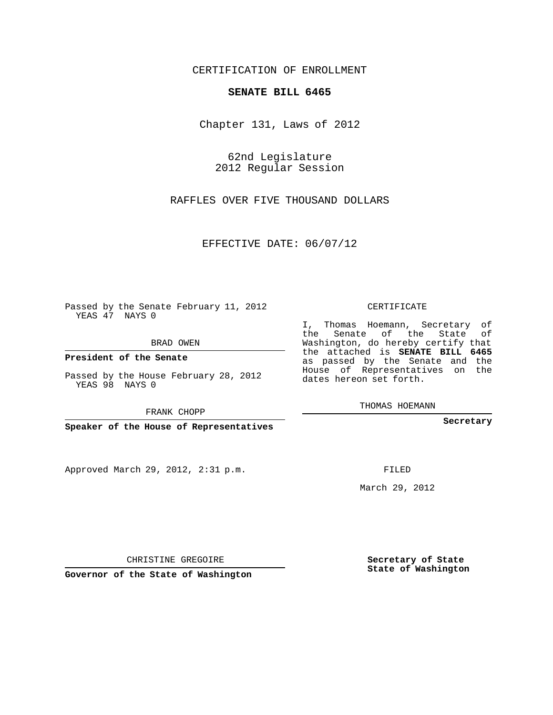## CERTIFICATION OF ENROLLMENT

## **SENATE BILL 6465**

Chapter 131, Laws of 2012

62nd Legislature 2012 Regular Session

RAFFLES OVER FIVE THOUSAND DOLLARS

EFFECTIVE DATE: 06/07/12

Passed by the Senate February 11, 2012 YEAS 47 NAYS 0

BRAD OWEN

**President of the Senate**

Passed by the House February 28, 2012 YEAS 98 NAYS 0

Approved March 29, 2012, 2:31 p.m.

CERTIFICATE

I, Thomas Hoemann, Secretary of the Senate of the State of Washington, do hereby certify that the attached is **SENATE BILL 6465** as passed by the Senate and the House of Representatives on the dates hereon set forth.

THOMAS HOEMANN

**Secretary**

FILED

March 29, 2012

**Secretary of State State of Washington**

CHRISTINE GREGOIRE

**Governor of the State of Washington**

FRANK CHOPP

**Speaker of the House of Representatives**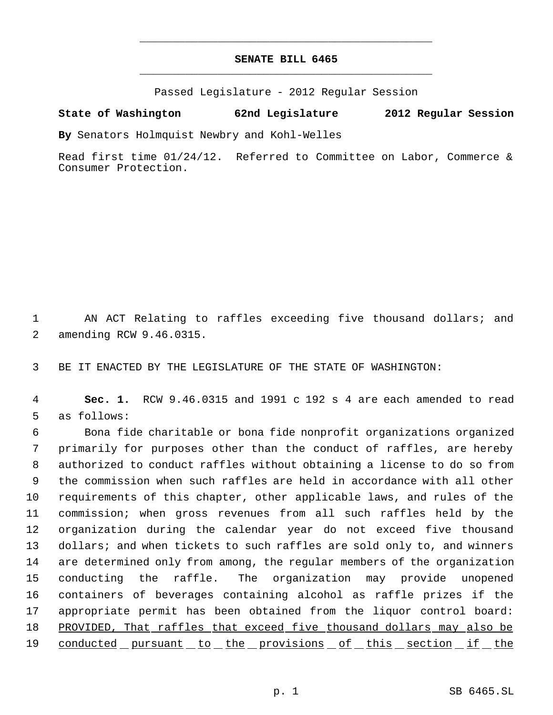## **SENATE BILL 6465** \_\_\_\_\_\_\_\_\_\_\_\_\_\_\_\_\_\_\_\_\_\_\_\_\_\_\_\_\_\_\_\_\_\_\_\_\_\_\_\_\_\_\_\_\_

\_\_\_\_\_\_\_\_\_\_\_\_\_\_\_\_\_\_\_\_\_\_\_\_\_\_\_\_\_\_\_\_\_\_\_\_\_\_\_\_\_\_\_\_\_

Passed Legislature - 2012 Regular Session

## **State of Washington 62nd Legislature 2012 Regular Session**

**By** Senators Holmquist Newbry and Kohl-Welles

Read first time 01/24/12. Referred to Committee on Labor, Commerce & Consumer Protection.

 1 AN ACT Relating to raffles exceeding five thousand dollars; and 2 amending RCW 9.46.0315.

3 BE IT ENACTED BY THE LEGISLATURE OF THE STATE OF WASHINGTON:

 4 **Sec. 1.** RCW 9.46.0315 and 1991 c 192 s 4 are each amended to read 5 as follows:

 Bona fide charitable or bona fide nonprofit organizations organized primarily for purposes other than the conduct of raffles, are hereby authorized to conduct raffles without obtaining a license to do so from the commission when such raffles are held in accordance with all other requirements of this chapter, other applicable laws, and rules of the commission; when gross revenues from all such raffles held by the organization during the calendar year do not exceed five thousand 13 dollars; and when tickets to such raffles are sold only to, and winners are determined only from among, the regular members of the organization conducting the raffle. The organization may provide unopened containers of beverages containing alcohol as raffle prizes if the appropriate permit has been obtained from the liquor control board: 18 PROVIDED, That raffles that exceed five thousand dollars may also be 19 conducted pursuant to the provisions of this section if the